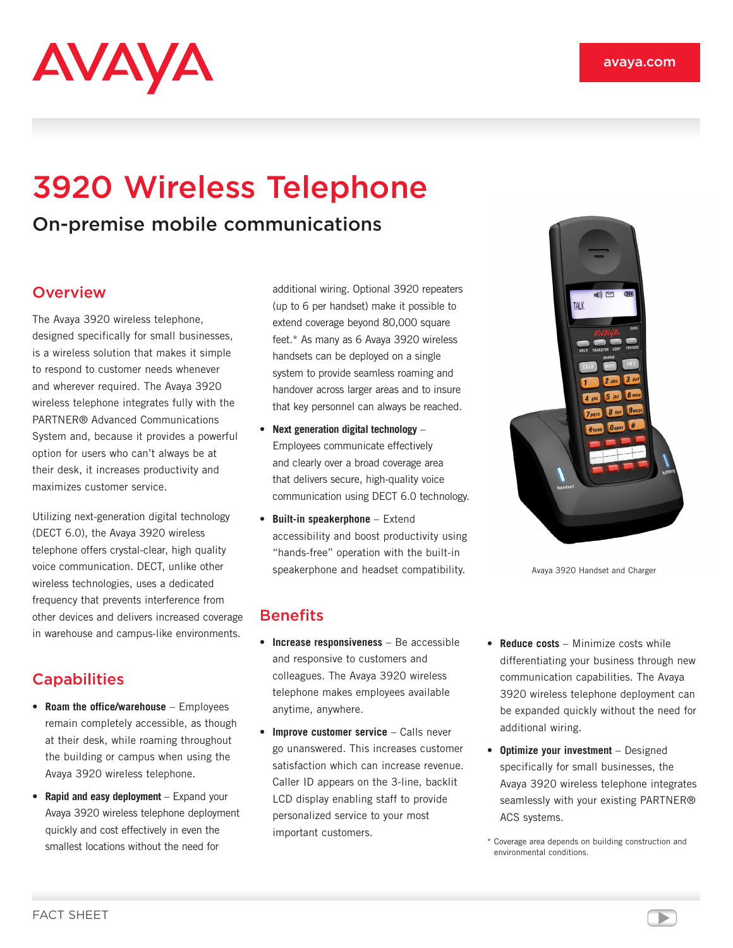

# 3920 Wireless Telephone

On-premise mobile communications

#### **Overview**

The Avaya 3920 wireless telephone, designed specifically for small businesses, is a wireless solution that makes it simple to respond to customer needs whenever and wherever required. The Avaya 3920 wireless telephone integrates fully with the PARTNER® Advanced Communications System and, because it provides a powerful option for users who can't always be at their desk, it increases productivity and maximizes customer service.

Utilizing next-generation digital technology (DECT 6.0), the Avaya 3920 wireless telephone offers crystal-clear, high quality voice communication. DECT, unlike other wireless technologies, uses a dedicated frequency that prevents interference from other devices and delivers increased coverage in warehouse and campus-like environments.

## **Capabilities**

- • **Roam the office/warehouse** Employees remain completely accessible, as though at their desk, while roaming throughout the building or campus when using the Avaya 3920 wireless telephone.
- • **Rapid and easy deployment** Expand your Avaya 3920 wireless telephone deployment quickly and cost effectively in even the smallest locations without the need for

additional wiring. Optional 3920 repeaters (up to 6 per handset) make it possible to extend coverage beyond 80,000 square feet.\* As many as 6 Avaya 3920 wireless handsets can be deployed on a single system to provide seamless roaming and handover across larger areas and to insure that key personnel can always be reached.

- • **Next generation digital technology** Employees communicate effectively and clearly over a broad coverage area that delivers secure, high-quality voice communication using DECT 6.0 technology.
- • **Built-in speakerphone** Extend accessibility and boost productivity using "hands-free" operation with the built-in speakerphone and headset compatibility.

### **Benefits**

- • **Increase responsiveness** Be accessible and responsive to customers and colleagues. The Avaya 3920 wireless telephone makes employees available anytime, anywhere.
- • **Improve customer service** Calls never go unanswered. This increases customer satisfaction which can increase revenue. Caller ID appears on the 3-line, backlit LCD display enabling staff to provide personalized service to your most important customers.
- • **Reduce costs** Minimize costs while differentiating your business through new communication capabilities. The Avaya 3920 wireless telephone deployment can be expanded quickly without the need for additional wiring.
- • **Optimize your investment** Designed specifically for small businesses, the Avaya 3920 wireless telephone integrates seamlessly with your existing PARTNER® ACS systems.
- \* Coverage area depends on building construction and environmental conditions.



Avaya 3920 Handset and Charger